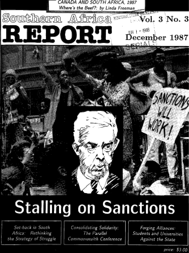

# **Stalling on Sanctions**

Sar back in South Africa: Rethinking the Strategy of Struggle

Consolidating Solidarity: The Parallel Commonwealh Conference

Foring Alliance: Stodents and Universities Against the State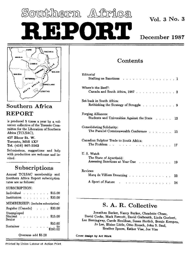# Southhern Alirica **v**ol. **3 No. 3** REPORT December 1987



## Southern Africa REPORT

is produced 5 times a year by a vol unteer collective of the Toronto Com mittee for the Liberation of Southern Africa (TCLSAC),

427 Bloor St. W. Toronto, M5S **1X7**  Tel. (416) 967-5562

Submissions, suggestions and help with production are welcome and in vited.

## Subscriptions

Annual TCLSAC membership and Southern Africa Report subscription rates are as follows:

#### SUBSCRIPTION:

| Individual                                                |  |  |  |  |  |  |  |  | \$15.00 |  |  |  |  |
|-----------------------------------------------------------|--|--|--|--|--|--|--|--|---------|--|--|--|--|
| Institution                                               |  |  |  |  |  |  |  |  | \$30.00 |  |  |  |  |
| MEMBERSHIP: (includes subscription)                       |  |  |  |  |  |  |  |  |         |  |  |  |  |
| Regular (Canada) \$30.00                                  |  |  |  |  |  |  |  |  |         |  |  |  |  |
| Unemployed<br>$Student \dots \dots \dots \dots$<br>Senior |  |  |  |  |  |  |  |  | \$15.00 |  |  |  |  |
| Sustainer to to \$200.00                                  |  |  |  |  |  |  |  |  | \$50.00 |  |  |  |  |
| Overseas add \$5.00                                       |  |  |  |  |  |  |  |  |         |  |  |  |  |

## Contents

| Editorial                                                     |  |  |      |
|---------------------------------------------------------------|--|--|------|
| Stalling on Sanctions                                         |  |  | . 1  |
| Where's the Beef?:                                            |  |  |      |
| Canada and South Africa, 1987. 3                              |  |  |      |
| Set-back in South Africa:                                     |  |  |      |
| Rethinking the Strategy of Struggle 9                         |  |  |      |
| Forging Alliances:                                            |  |  |      |
| Students and Universities Against the State                   |  |  | . 13 |
| Consolidating Solidarity:                                     |  |  |      |
| The Parallel Commonwealth Conference 15                       |  |  |      |
| Canadian Sulphur Trade to South Africa:                       |  |  |      |
| The Problem<br>$\sim$ $\sim$ $\sim$ $\sim$                    |  |  | . 17 |
| U.S. Watch                                                    |  |  |      |
| The State of Apartheid:<br>Assessing Sanctions at Year One 19 |  |  |      |
|                                                               |  |  |      |
| Reviews                                                       |  |  |      |
| Marq de Villiers Dreaming 23                                  |  |  |      |
| A Sport of Nature 24                                          |  |  |      |

## **S. A.** R. Collective

Jonathan Barker, Nancy Barker, Claudette Chase, David Cooke, Mark Fawcett, David Galbraith, Linda Guebert, Lee Hemingway, Carole Houlihan, Susan Hurlich, Bernie Kempen, Jo Lee, Blaine Little, Otto Roesch, John S. Saul, Heather Speers, Esther Vise, Joe Vise

**Cover design by Art Work**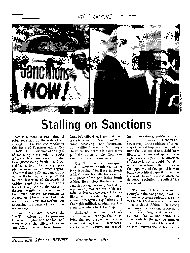## editkorial



## **Stalling on Sanctions**

There is a mood of rethinking, of sober reflection on the state of the struggle, in the two lead articles in this issue of *Southern Africa RE PORT.* The importance of the goal of replacing racist rule in South Africa with a democratic constitu tion guaranteeing freedom and so cial justice to all the country's peo ple has never seemed more urgent. The moral and political bankruptcy of the Botha regime is epitomized by the detention of thousands of children (and the torture of not a few of them) and by the wantonly destructive military interventions of the South African government in Angola and Mozambique. But find ing the best means and methods for advancing the cause of freedom is not so easy.

Linda Freeman's "Where's the Beef?" reflects on the pressures from Washington and London, and from within the offices of Exter nal Affairs, which have brought Canada's official anti-apartheid ac tions to a state of "stalled momen tum", "coasting", and "confusion and waffling", even if Mulroney's rhetorical flourishes did score some publicity points at the Common wealth summit in Vancouver.

Our South African correspon dent, Geoffrey Spaulding, in a long interview "Set-Back in South Africa" offers his reflections on the new phase of struggle inside South Africa. He employs the terms "dis organizing regulations", "rocked by repression", and "unfavourable ter rain" to describe the context for po litical action created by the dra conian Emergency regulations and the highly militarized administrative structures which back them up.

Although the current setback and lull are real enough, the under lying changes in South Africa con tinue to strengthen the black work ers (successful strikes and spreading organization), politicize black youth (a process still evident in the townships), unite residents of town ships (the rent boycotts), and under mine the ideology of apartheid (new liberal initiatives and splits of the right wing groups). The direction of change is not in doubt. What is not so clear is how further to weaken the opponents of change and how to build the political capacity to handle the conflicts and tensions which no democratic solution in South Africa can avoid.

The issue of how to wage the struggle in the new phase, Spaulding shows, is receiving serious discussion in the ANC and in several other set tings in South Africa. The strong and united opposition, reported in the article "Forging Alliances", of students, faculty, and administra tive heads to the new government regulations in South Africa seeking to force universities to become in-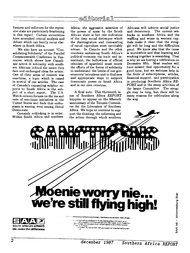## ้ **e**dไว้ให้ดากว่า ส.โ

formers and enforcers for the repres sive state are particularly heartening in this regard. Certain universities have nourished critical analysis and debate which can hardly occur else where in South Africa.

We also have an account "Con solidating Solidarity" of the Parallel Commonwealth Conference in Van couver which shows how Canadi ans active in solidarity with south ern Africans defined the issues they face and exchanged ideas for action. One of their areas of concern was sanctions, a topic which is raised in several of our articles. The case of Canada's expanding sulphur ex ports to South Africa is the sub ject of a short report. The U.S. Watch column focuses on the ins and outs of sanctions initiatives in the United States and finds that enthu siasm is waning, even among liberal Democrats.

Certainly rethinking is in order. Within South Africa and southern

Africa, the aggressive assertion of the power of arms **by** the South African state is but one indication of the deep social distemper which the disintegration and dismantling of racial capitalism must inevitably release. In Canada and the other countries sustaining South Africa's political economy via trade and in vestment, the hollowness of official criticism of apartheid must renew the efforts of the forces of solidarity to understand the limits of our gov ernments' intentions and to find new and appropriate ways to support democratic power in South Africa and in our own countries.

A final note: This thirteenth is sue of *Southern Africa REPORT*  happens to appear on the fifteenth anniversary of the Toronto Commit tee for the Liberation of Southern Africa. We hope to continue to sup port the thinking, the informing and the action through which southern

Africans will achieve social justice and democracy. The current set backs in southern Africa and the waffling and worse in western cap itals make it clear that the strug gle will be long and the difficulties great. We know also that the cause is worthwhile and that learning and working together is rewarding. That is why we are having a celebration on December fifth. Most readers will have missed that opportunity for a good time, but we welcome help in the form of subscriptions, articles, financial support, and participation in producing *Southern Africa RE PORT* and in the many activities of the larger Committee. The strug gle may be long, but there will be many reasons for celebration along the way.





**We make the difference** *CONTROLLAGE CONTROLLAGE CONTROLLAGE WITH SAA WITH YOU Support* **we I keep the lag hyng high**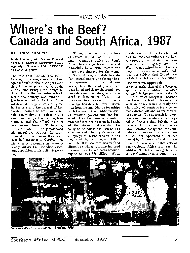## **Where's the Beef? Canada and South Africa. 1987**

#### **BY LINDA FREEMAN**

*Linda Freeman, who teaches Political Science at Carleton University, writes regularly in* Southern Africa REPORT *on Canadian policy.* 

The fact that Canada has failed to adopt one single new sanction against South Africa in the past year should give us pause. Once again in the long struggle for change in South Africa, the momentum **-** both inside the country and outside has been stalled in the face of the ruthless intransigence of the regime in Pretoria and the refusal of key Western powers to act. As a re sult, forces fighting against strong sanctions have gathered strength in Canada, and the official position has become blurred. To be sure, Prime Minister Mulroney reaffirmed his unequivocal support for sanc tions at the Commonwealth confer ence in Vancouver in October, but his voice is becoming increasingly lonely within the Canadian state, and opposition to his policy is grow ing.

Though disappointing, this turn of events should not be surpris ing. Canada's policy on South Africa has always been influenced powerfully by external factors and these have changed for the worse. In South Africa, the state has sti fled internal opposition through bru tal repression. In the past four years, three thousand people have been killed and thirty thousand have been detained, including eight thou sand children under fifteen. At the same time, censorship of media coverage has deflected world atten tion from the smouldering townships with the result that public pressure on Western governments has less ened. Also, the cause of Namibian independence has been pushed right off the international agenda. Fi nally, South Africa has been able to continue and intensify its genocidal campaign of destabilization in the region which, according to SADCC and UNICEF estimates, has resulted directly or indirectly in nine hundred thousand deaths and costs amount ing to at least \$35 billion. While the destruction of the Angolan and Mozambican economies reaches hor rific proportions and atrocities con tinue with alarming regularity, the West has not helped to stop the car nage. Protestations notwithstand ing, it is evident that Canada has not dealt with these realities either.

#### The western approach

What to make then of the Western approach which conditions Canada's actions? In the past year, Britain's Prime Minister Margaret Thatcher has taken the lead in formulating Western policy which is really the old policy of constructive engage ment dusted off and again pressed into service. The approach is to op pose sanctions, sending a clear sig nal to Pretoria that Britain is on its side. For its part, the Reagan administration has ignored the com pulsory provisions of the Compre hensive Anti-Apartheid Guidelines passed by Congress in 1986 and has refused to take any further actions against South Africa this year. In addition, Thatcher, during the Van couver Commonwealth summit, de-



Generalgerh mini-rummi, Lender, 1986.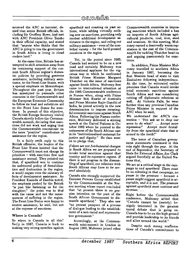### camada

nounced the **ANC** as terrorist, de nied that senior British officials, in cluding Sir Geoffrey Howe, had met with **ANC** President Oliver Tambo in their official capacity, and stated that "anyone who thinks that the ANC is going to run the government in South Africa is living in cloud cuckoo land."

At the same time, Britain has at tempted to shift attention away from its continuing support of the cur rent South African regime's domes tic policies by providing generous assistance, including military assis tance, to the Front-Line States, with a special emphasis on Mozambique. Throughout the past year, Britain has attempted to persuade other countries in the Commonwealth and the European Economic Community to follow its lead and substitute aid to the Front Line States for sanc tions. In pursuit of this objective, the British Foreign Secretary visited Canada shortly before the Common wealth summit, declaring that sanc tions did not work and urging that the Commonwealth concentrate on the more "positive" contribution of assistance for the region.

In a fairly swift reply to this British offensive, the leaders of the Front Line States insisted that the Commonwealth must not change its priorities - with sanctions first and assistance second. They pointed out that, if apartheid was to continue its unfettered policy of destabiliza tion and destruction in the region, it would negate even the salutary ef fects of development assistance. As President Kaunda of Zambia noted, the emphasis pushed by the British "is just like fattening us for the slaughter;" the point was to deal with the cause and not the conse quences of suffering in the region. The Front Line States were happy to receive assistance, he said, but not at the expense of sanctions.

#### Where is Canada?

So where is Canada in all this? Sadly in 1987, Canada is back to making very strong speeches against

apartheid and coasting on past ac tions, while adding virtually noth ing new on sanctions, providing only modest additional development as sistance in the region, and ruling out military assistance - even of the non lethal variety - for the hard-pressed countries in the region.

Yet, in the period since 1985, Canada had seemed to be on a new road and certainly Mulroney won international applause for the vig orous way in which he confronted British Prime Minister Margaret Thatcher on the issue of sanctions against South Africa. Mulroney first came to international attention at the 1985 Commonwealth conference in Nassau when, along with Prime Minister Bob Hawke of Australia and Prime Minister Rajiv Gandhi of India, he joined actively in the new determination to impose meaning ful economic sanctions against South Africa. Following the Nassau confer ence, Mulroney delivered a stirring speech at the United Nations in Oc tober 1985 where he pointed to the uniqueness of the South African case in its "institutionalized contempt for justice and dignity." He then went on to pledge that,

*if there* are *not fundamental changes in South Africa we are prepared to invoke total sanctions against that country and its repressive regime. If there is not progress in the disman tling of apartheid, our relations with South African may have to be sev ered absolutely.* 

Canada also strongly supported the Eminent Persons Group established by the Commonwealth at the Nas sau meeting whose report concluded that "at present there is no gen uine intention on the part of the South African Government to dis mantle apartheid." They also saw "no present prospect of a process of dialogue leading to the establish ment of a non-racial and representa tive government."

Accordingly, at the Common wealth mini-summit in London in August 1986, Mulroney joined other Commonwealth countries in impos ing sanctions which included a ban on imports of South African agri cultural products, coal, iron, steel and uranium. At this meeting, Mul roney earned a deservedly warm rep utation in the rest of the Common wealth for tackling Thatcher head on and arguing passionately for sanc tions.

In addition, Prime Minister Mul roney travelled to southern Africa in January 1987, becoming the first Western head of state to visit Zimbabwe following independence. At the time, he reiterated earlier promises that Canada would invoke total economic sanctions against South Africa and was considering cutting off diplomatic relations as well. At Victoria Falls, he went further than any previous Canadian Prime Minister in support of the ANC when he said,

*We understand the ANC's con tention* **-** *'You ask us to drop our arms to do what?* ... *Accept more*  Accept more brutal*ity from the apartheid state that is armed to the teeth?'* 

The tenor of Canadian govern ment statements continued in this vein right through the year. At the end of September, the Secretary of State for External Affairs, Joe Clark argued forcefully at the United Na tions that,

*We are at a critical stage in the cam paign to end apartheid. There must be no relenting in that campaign, no pause in the pressure* - *because a pause might suggest apartheid is ac ceptable, and it is not. The pressure against apartheid must continue and increase ...* 

Right before the Commonwealth conference, Mulroney added that "Canada cannot be (merely) be nignly interested in the greatest moral debate that is going on. Canada has to be on the high ground and provide leadership to its friends and allies around the world."

Despite such strong reaffirma tions of Canada's commitment to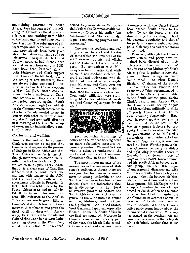### GAIDA T

maintaining pressure on South Africa, there has been a definite soft ening of Canada's official position this year, and nothing new added to the campaign to end apartheid in South Africa. The substance of pol icy is vague and ineffectual, and con tradictory signals have been given about the nature and timing of new initiatives. Despite the fact that Cabinet approval had already been secured for sanctions early in **1987,**  none have been forthcoming, and both Mulroney and Clark suggest that there is little left to do. As to the timing of new measures, these are always being postponed **-** un til after the South African elections in May **1987** (P.W. Botha was con sidered to be a moderate **by** Cana dian officials and they argued that he needed support against South Africa's resurgent right) or until af ter the Commonwealth conference in October (Canada needed to act in concert with other countries to have any effect), and now until after the next meeting of the **G-7** (the group of seven major industrialized coun tries) in **1988.** 

#### Confusion and waffling

Towards the end of the summer, Clark even seemed to suggest that Canada could regenerate the process of dialogue in South Africa and that South Africa is open to change. **Al** though there were no discernible re sults from his five-day trip to South ern Africa in August, Clark insists that it is a clear sign of Canadian influence that he could meet one morning with leaders of the **ANC**  and the next with South African government officials in Pretoria. In fact, Clark was told rudely **by** the South African press and politely **by**  Pik Botha to mind his own busi ness. His invitation to the **ANC** to foreswear violence to give a fillip to Canada's stature before the Com monwealth conference was given the short shrift it deserved. Amaz ingly, Clark returned to Canada and claimed that Canada has more influ ence than others in the West. Yet, in fiat contradiction, Mulroney reaf firmed to journalists in Vancouver right before the Commonwealth con ference in October his earlier "sad conclusion" that "the way of dia logue is not making progress but is regressing."

One sees this confusion and waf fling also in the cool and low-key welcome which the President of the **ANC** received on his first official visit to Canada at the end of August. By comparison with Mul-By comparison with Mulroney's earlier contention that, while he could not condone violence, he could at least understand why the ANC had pursued armed struggle, both Mulroney and Clark went out of their way during Tambo's visit to state that the issues of violence and Communist affiliation were stum bling blocks for additional West ern (and Canadian) support for the ANC.



Such conflicting indications of policy and the evident backing down on more substantive measures re quire explanation. We need to know what is going on underneath the smoke and mirrors which represent Canada's policy on South Africa.

The most important part of the answer lies in the weakness of Mul roney's position. Although there are no signs that his personal commit ment to strong leadership on the South African issue has been aban doned, there are indications that he is discouraged by the refusal of Western powers to address the South African crisis with any ur gency. At the G-7 summit in Venice in June, Mulroney could not get the big players **-** the United States, West Germany, Japan and especially Britain - to include South Africa in the final communiqu6. Moreover in Canada, scandals in the early part of the year, the Meech Lake consti tutional accord and the Free Trade Agreement with the United States have pushed South Africa to the side. To say the least, given the dramatically low standing in both his personal popularity and that of his party in domestic public opinion polls, Mulroney has had other things on his mind.

Moreover, although the Conser vative caucus and party have re mained fairly discreet about their differences, there are indications that dissent about Mulroney's South Africa policy is gathering strength. Some of these feelings are mere comic relief - as when Donald Blenkarn, Chairman of the Stand ing Committee for Finance and Economic Affairs, recommended in a letter to Clark, (made public to the South African press during Clark's visit in mid August 1987) that Canada should occupy Angola and Mozambique militarily to choke off South Africa without the re gion becoming Communist. How ever, in recent months, party unity has been put to the test in the face of vigorous lobbying by pro South African forces which included the presentation to all M.P.s of a particularly nasty video attacking the ANC. Significantly, it was nar rated by Peter Worthington, a for mer Conservative party candidate and right wing journalist known in Canada for his strong support of Angolan rebel leader Jonas Savimbi and his South African-backed guer rilla group, UNITA. Other signs of underground disagreement with Mulroney's South Africa policy can be seen in the links between his Min ister of Indian Affairs and Northern Development, Bill McKnight and a group of Canadian Indians who ap peared in South Africa at the same time as Joe Clark to embarrass the Canadian government about its treatment of the aboriginal commu nity in Canada. While the Conser vative party seems happy about the international kudos which Mulroney has earned on the southern African issue, the consensus on the policy it self is definitely weaker than it has been.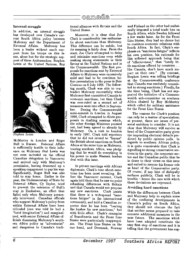#### **Internal struggle**

**In** addition, an internal struggle has developed over Canada's cur rent South Africa policy between Mulroney and the Department of External Affairs. Mulroney has been a leader without much sup port from his troops on this is sue, alone but for the strategic sup port of three Ambassadors: Stephen Lewis at the United Nations, Roy



*btephen Lewis* 

McMurtry in London and Roger Bull in Harare. External Affairs is sufficiently hostile to their influ ence on Mulroney that Lewis was not even included on the official Canadian delegation to Vancouver and arrived only with Mulroney's permission, having drummed up a speaking engagement to pay his way. Significantly, Roger Bull was also told to stay home. Earlier in the year, the Undersecretary of State for External Affairs, Cy Taylor, tried to prevent the extension of Bull's stay in Zimbabwe, an effort that failed only when Mulroney person ally intervened. Canadian officials who support Mulroney's policy from within External Affairs have been ridiculed (one was told he had a "lurid imagination") and marginal ized, with senior External Affairs of ficials dismissing Mulroney's south ern Africa policy as "adventurist" and dangerous to Canada's traditional alliances with Britain and the United States.

Moreover, it is clear that Joe Clark is considerably less enthusias tic about sanctions than Mulroney. This difference can be subtle, but its meaning is fairly clear. From the start, Joe Clark attempted to delay and minimize sanctions even while making strong statements in their favour at the United Nations and in the Commonwealth. The first pro posals for sanctions sent by External Affairs to Mulroney were excessively mild and had to be rewritten be fore presentation to the press in Baie Comeau on 6 July 1985. The follow ing month, Clark was able to con tradict Mulroney successfully when Mulroney first committed Canada to economic sanctions, but then Clark was over-ruled as a second set of measures went into effect in Septem ber. During the Commonwealth mini-summit in London in August 1986, Clark attempted to dilute pro posals in drafting sessions which, the other Foreign Ministers pointed out, had been agreed to already by Mulroney. On a visit to London in early 1987, Clark told reporters that he did not intend to "harass" the British about sanctions on South Africa at the same time as Mulroney, touring southern Africa, was pledg ing that he would do everything in his power to make Western leaders deal with this issue.

In private meetings with African diplomats, Clark's tone about sanc tions has been most revealing. Be fore the Vancouver summit, Clark again told them that he saw no point rehashing differences with Britain and that Canada would not propose any new sanctions. Clark insists that there is a widespread "sanc tions fatigue" in the international community, and told a Canadian re porter that he has been "beating the bushes for new sanctions," but with little effect. Clark's examples of Scandinavia and the Front Line States were particularly inappropri ate. The Front Line States on the one hand, and Denmark, Norway

and Finland on the other had unilat erally imposed a total trade ban on South Africa, while Sweden followed a few weeks later. As for the Front Line States, they had no choice but to continue economic relations with South Africa. In fact, Clark's em phasis on "sanctions fatigue" reflects his own position, his rationale for this softened approach being that of "effectiveness," that "lonely lit tle sanctions offered by countries ... like Canada, don't have much im pact on their own." (By contrast, Stephen Lewis was telling briefings at the Commonwealth conference that Canada was resolutely commit ted to strong sanctions.) Finally, for the time being, Clark has not sup ported the initiative of a Common wealth sub-committee on southern Africa chaired by Roy McMurtry which called for military assistance for the Front Line States.

The reasons for Clark's position can only be a matter of speculation; at present, there are issues of per sonal ambition to consider. It is not clear that Mulroney will survive as head of the Conservative party given the impending electoral debacle pre dicted by public opinion polls. In regards to southern African policy, it is quite conceivable that Clark is signalling to strong conservative sec tions in the party, the corporate sec tor and the Canadian public that he is closer to their views on this issue and suited to resume his former role as head of the Conservative party. Of course, if any hint of disloyalty surfaces publicly, Clark will be in trouble **-** hence the care with which these deviations are expressed.

#### Avoiding hard sanctions

While the differences between Clark and Mulroney help to explain some of the confusing developments in Canada's policy on South Africa, they should not obscure the fact that neither seems prepared to take concrete additional measures in the near future. The sanctions which have been adopted constitute the easy first step of sanctions and it is telling that the government has sug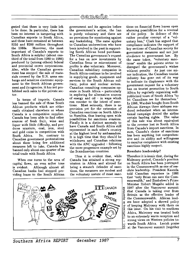gested that there is very little left to be done. In particular, there has been no interest in tampering with Canadian exports to South Africa, and these have remained at between \$150 and \$200 million throughout<br>the 1980s. Moreover, the most Moreover, the most important of Canada's exports to South Africa is sulphur (about one third of the total from 1980 to 1986) produced by (among others) federal and provincial crown corporations. Also, while the Canadian govern ment has stopped the sale of mate rials covered by the U.N. arms em bargo and sensitive electronic equip ment to the South African govern ment and its agencies, it has not pro hibited such sales to the private sec tor.

In terms of imports, Canada has banned the sale of those South African products which are either easily obtained elsewhere or where Canada is a competitive supplier. Canada has been able to find other sources of fresh fruit, wine and liquor with little difficulty, and pro duces uranium, coal, iron, steel and gold coins in competition with South Africa. So, contrary to Canadian government protestations about there being few additional measures left to take, Canada has banned only about one-quarter of its total trade with South Africa.

When one turns to the area of capital flows, an even softer tone is evident. Although almost all Canadian banks had stopped pro viding loans to the South African

government and its agencies before the government's action, the ban is purely voluntary and there are no provisions for monitoring against any backsliding. The same applies to Canadian underwriters who have been involved in the past in support ing South African bond purchases. The Canadian government's request for a ban on new investments by Canadian firms or reinvestment of profits is also voluntary. Moreover, Canadian subsidiary companies in South Africa continue to be involved in supplying goods, equipment and services to the South African mil itary, police and nuclear sectors. Canadian consulting companies op erate in South Africa - particularly in exploring for alternative sources of energy and oil - in ways which run counter to the intent of sanc tions. Most seriously, there is no provision yet for the extension of Canadian sanctions on South Africa to Namibia, thus leaving open wide possibilities for sanctions evasions. Finally it is a distinct anomaly to have Canada and South Africa still represented in each other's country at the highest level by ambassadors. It is high time that they should be withdrawn and Canadian relations with the ANC upgraded **-** following the more progressive example set by the Scandinavian countries.

Thus it is evident that, while Canada has attained a strong rep utation in Africa and abroad for being a staunch defender of sanc tions, the measures are modest and the voluntary nature of most sanctions on financial flows leaves open alarming possibilities for a reversal of the policy. In defence of this rather peculiar concept of a "vol untary ban," Clark has argued that compliance indicates the support of key sections of Canadian society for government measures and not just obedience to government law. By the same token, "voluntary sanc tions" enable the private sector to disregard the government's wishes without penalty. As just one minor indication, the Canadian tourist industry has gone out of its way to indicate its displeasure with the government request for a voluntary ban on tourist promotion to South Africa by regularly organizing well publicized tours of South Africa "to let Canadians see for themselves." In 1986, Wardair bought from South African Airways three airbuses ren dered redundant when an interna tional campaign denied the airline certain landing rights. The value of this sale was about equivalent to the revenue lost in South Africa from Canada's import sanctions. In sum, Canada's choice of sanctions has been anything but comprehen sive and its ability and willingness to monitor compliance with existing sanctions highly suspect.

#### Resolute leadership?

Therefore it is ironic that, during the Mulroney period, Canada's position on South Africa has been portrayed in the Commonwealth as one of res olute leadership. President Kaunda told Canadian reporters in **1986**  that "only Brian can save the Com monwealth," and Zimbabwe's Prime Minister Robert Mugabe added in **1987** after the Vancouver summit that Canada is taking over from Britain as the effective leader of the Commonwealth. African lead ers have adopted a shrewd policy of keeping Mulroney with them on this issue. On his visit to southern Africa, Mulroney was treated both to an extremely warm reception and strong views on Western policies towards South Africa. Lavish praise at the Vancouver summit (together

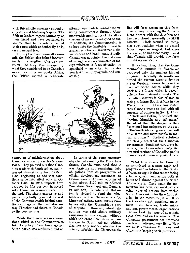### **(Coffimfif**

with British offensiveness) undoubt edly stiffened Mulroney's spine. The African leaders regard Mulroney as their friend and have continued to assume that he is solidly behind their cause which undoubtedly he is, on a personal level.

During the Commonwealth sum mit, the British also helped inadver tently to strengthen Canada's po sition. As they were annoyed by what they considered to be Canada's moral posturing on South Africa, the British started a deliberate

attempt was made to consolidate ex isting commitments through Com monwealth monitoring of the effec tiveness of measures adopted so far. In addition, the Commonwealth is to look into the feasibility of new fi nancial sanctions - investment, disinvestment and bank loans. Finally, Canada was appointed the first chair of an eight-nation committee of for eign ministers to focus attention on apartheid - an effort to counter South African propaganda and cen sorship.



campaign of misinformation about Canada's sincerity on trade sanc tions. They pointed out that Cana dian trade with South Africa had in creased dramatically from 1985 to 1986, neglecting to add that sanc tions came into effect only in Oc tober 1986. In 1987, imports have dropped by fifty per cent in accord with Canadian commitments. In the end, Thatcher's aggressive and patronizing bullying united the rest of the Commonwealth behind sanc tions and against the overt discour tesy Thatcher had shown to Canada as the host country.

While there were no new sanc tions added to the Commonwealth list, the policy of sanctions against South Africa was reaffirmed and an

In terms of the complementary objective of assisting the Front Line States, Canada announced that it was forgiving any remaining debt obligations from its programme of official development assistance to Commonwealth African countries, of which about \$120 million affected Zimbabwe, Swaziland and Zambia. In addition, Canada and Britain jointly pledged to fund the reha bilitation of the Chicualacuala (or Limpopo) railway route linking Zim babwe with the Mozambique port of Maputo. However, absolutely nothing was said about military assistance to the region, without which the Front Line States remain hostage to South African whims. One can only wonder whether the offer to refurbish the Chicualacuala line will force action on this front. The railway runs along the Mozam bican border with South Africa and has been closed repeatedly by MNR<br>attacks. Clark seemed to recog-Clark seemed to recognize such realities when he visited Mozambique in August, but since his return, he has steadfastly denied that Canada will provide any form of military assistance.

It is clear, then, that the Com monwealth summit in Vancouver produced only the smallest hint of progress. Generally, its results re flected the current attempt by the major Western powers to take the heat off South Africa while they work out a future which is accept able to their material interests. The Canadian interest is also related to seeing a future South Africa in the<br>Western camp. Clark has stated Clark has stated that Canada wants to deal with all currents of opinion in South Africa **-** "black and Botha, Buthulezi and Tambo, Mandela and Afrikaner." He added that the danger is that "continued intransigence on the part of the South African government will drive more and more people to radical solutions." Radical solutions Radical solutions. are clearly not what the Canadian government, dominant corporate in terests, the Conservative party and powerful sections of Canadian public opinion want to see in South Africa.

What this means for those of us committed to a more rapid and progressive resolution to the South African struggle is that we are facing a lull in government action both at home and abroad against the South African state. Once again the mo mentum has been lost until yet an other wave of protest from within South Africa rekindles the effort out side. In the meantime, it is left to the Canadian anti-apartheid move ment - the churches, trade unions and non-governmental organizations **-** to see that the issue of apartheid stays alive and on the agenda. The Canadian government has promised much and delivered very little. Now we must embarrass Mulroney and Clark into keeping their promises.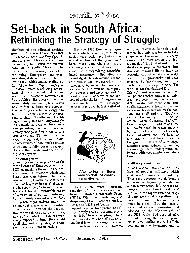## **Set-back in South Africa: Rethinking the Strategy of Struggle**

Members of the editorial working group of *Southern Africa REPORT*  met recently with Geoffrey Spauld ing, our South African Special Cor respondent, to discuss the current<br>situation in South Africa. The situation in South Africa. context is, of course, one of a continuing "Emergency" and everescalating state repression. The fol lowing text which makes available a faithful synthesis of Spaulding's pre sentation, offers a sobering assess ment of the impact of that repres sion on the resistance movement in South Africa. His observations may seem unduly pessimistic, but his was not, in fact, a despairing perspec tive; he fully expects the struggle to be raised to new levels with the pas sage of time. Nonetheless, Spauld ing felt compelled to qualify strongly the optimistic, even euphoric out look regarding the pace of revolu tionary change in South Africa of a year or two ago. This must now give way, he suggested, to a more realis tic assessment of how much remains to be done to fully loosen the grip of the apartheid state and the racial capitalist system.

#### The emergency

Spaulding saw the imposition of the second State of Emergency in June, 1986, as marking the end of the dra matic wave of resistance which had begun two years before. There was reason for optimism at that time. The rent boycotts in the Vaal Trian gle in September, 1984 were the ini tial spark for the remarkable range of expression of political militancy by community associations, student and youth organizations and trade unions that characterized the subse quent period. Neither the occupa tion of townships by security forces, nor the first, selective State of Emer gency imposed in June, 1985, could quell this militancy, despite thou sands of arrests and detentions.

But the 1986 Emergency regu lations which were imposed on a nation-wide basis (regulations re newed in June of this year) have been more comprehensive, more ruthlessly applied, and more suc cessful in disorganizing township based resistance. Spaulding ac knowledged that draconian censor ship regulations have served, simul taneously, to make the resistance less visible. But even so, he argued, the boycotts and meetings and fu neral demonstrations which had con tinued under the first Emergency are now so much more difficult to organ ise that they have, in fact, tailed off.



Perhaps the most important casualty of the crack-down has been the United Democratic Front (UDF). With the broadening and deepening of the resistance from late 1984, the UDF had begun to move beyond its initial high profile, not al ways deeply-rooted, pyramid struc ture. It had been attempting to base itself more directly and effectively at the local level in new organizational forms such as the street committees

and people's courts. But this devel opment had only just begun to take shape when the second Emergency struck. The latter not only under cut much of this kind of institution alization of popular resistance, but also gave renewed life to informer networks and other state security devices which previously had been smashed (by "necklacing" and other methods). Now organizations like the UDF (or the National Education Crisis Committee whose own innova tive parent-teacher-student commit tees have been brought to a stand still) can do little more than issue public statements from spokesper sons who themselves are on the run. True, the UDF and the NECC (as well as the newly formed South Africa Youth Congress, SAYCO) have managed to hold "consulta tive conferences" in recent months but it is not clear how effectively these initiatives can link back to any organizational base closer to the ground. Cadres of such orga nizations seem reduced to leading a semi-legal, semi-underground ex istence, with vast numbers in deten tion.

#### Militancy continues

"This is not to detract from the high level of popular militancy which continues," maintained Spaulding. Thus rent boycotts, which became so prominent beginning in 1984, **en** sue in many areas, defying state at tempts to bring them to heel. And the ever more highly-tuned ideology of resistance that crystallized be tween 1984 and 1986 remains very much in place. But the loosely structured form of organization first adopted by the "Charterists" of the UDF, which had been effective in undermining the state-imposed tri-cameral parliament and official councils in the townships and in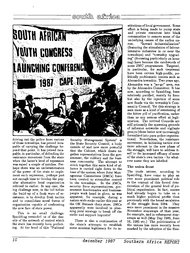## **1.=1Z.**



driving out the police from various of those townships, has proved inca pable of carrying the challenge be yond that point. It has proved inca pable, in particular, of defending the resistance movement from the state when the latter's level of repression was raised a couple of notches. Per haps there was an underestimation of the power of the state to imple ment such repression, perhaps just not enough time to develop the pop ular alternative local organization referred to earlier. In any case, the big challenge now, in the lull before the build-up of a fresh wave of re sistance, is to develop fresh tactics and to consolidate novel forms of organisation capable of confronting the new face of state power.

This is no small challenge. Spaulding reminded us of the den sity of the network of control which the state has recently been perfect ing. At the head of this "National

Security Management System" is the State Security Council, a body outside of and now more powerful that the Cabinet, which draws to gether representatives from the gov ernment, the military and the busi ness community. The attempt to stitch together this same kind of al liance is carried right down to the base of the system where Joint Man agement Committees (JMCs) have been created to streamline control in the townships. In the JMCs, security force representatives, government functionaries and business people work hand in glove, as was apparent, for example, during a nation-wide strike earlier this year at the OK Bazaars chain store. JMCs apparently were involved in plan ning joint strategy to break off the strike and support boycotts!

There is also a continuation of the state's attempts to establish some minimal legitimacy for its in-

stitutions of local government. Some effort is being made to pump state and private resources into black communities to remove some of the underlying causes of the earlier un-<br>rest. "Inward industrialization" "Inward industrialization" (featuring the stimulation of labour intensive industries in or near the townships) and "township upgrad ing" (focussing particularly on hous ing) have become the catchwords of some JMC programmes. Targeted, in particular, for such treatment have been certain high-profile, po litically problematic centres such as Alexandra township. Two years ago, Alexandra was a "no-go" area, run by the Alexandra Committee. It has now, according to Spaulding, been relatively pacified, mainly by force but also by the injection of some new funds via the township's Com munity Council. Yet this strategy is seen more as a kind of sweetening of the bitter pill of pacification, rather than as any serious effort at legit imation. The revived Councils are still primarily the spawning grounds of informer networks and vigilante groups (these latter now increasingly formalized into para-police organiza tions). Nonetheless, the resistance movement, in initiating tactics ever more relevant to the new phase of the struggle, will have to address it self to the increased efficacy of some of the state's own tactics - by what ever name they are labelled.

#### The union front

The trade unions, according to Spaulding, have come to play an ever more prominent *political* role in the context of this forced dete rioration of the general level of po litical organisation. In fact, unions had already begun to take on a much higher political profile than previously with the broad escalation of the struggle from 1984. They were more prominent in the massive November stayaways of that year, for example, and in subsequent stay aways as well (May Day 1985, June 16, 1985 etc.) The politicization of the unions has more recently been marked by the adoption of the Free-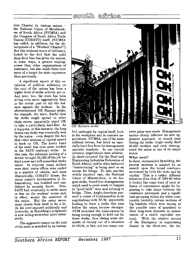

dom Charter **by** various unions the National Union of Metalwork ers of South Africa **(NUMSA)** and the Congress of South Africa Trade Unions **(COSATU)** itself. **(NUMSA**  has called, in addition, for the de velopment of a "Workers' Charter"!) But this widened scope of militancy, linked to the fact that the solid shop-floor base has given the unions, in some ways, a greater staying power than other organizations of resistance, has also made them even more of a target for state repression than previously.

A significant aspect of this es calation of political militancy on the part of the unions has been a higher level of strike activity *per se.*  And here, too, the state has been acting even more aggressively than in the recent past to tilt the bal ance against the workers. In the aforementioned OK Bazaars strike, for example, the state, fearful that the strike might spread to other chain stores, apparently urged OK to take a particularly hard-line. As it happens, in this instance, the long drawn-out strike was eventually won by the union **-** even despite the fact that other sections of capital moved to back up OK. The heavy hand of the state was even more evident<br>in the SATS (railway) strike. In in the SATS (railway) strike. this case, the arbitrary sacking of a worker brought 20,000 off the job be hind a new and still somewhat shaky union. In response many strikers were shot, union offices were raided in a number of centres, and most dramatically, COSATU House, the union centre's headquarters in Jo hannesburg, was bombed and van dalized by security forces. True, SATS had eventually to settle more or less on the workers' terms and, in effect, accept the existence of the union. But the union move ment clearly feels itself to be a lit tle bit over-exposed politically and (correctly, in Spaulding's judgment) is now acting somewhat more defen sively.

The aggressive stance on the part of the state is matched by an intensi-



Bazaars strike

fied onslaught by capital itself, both in the workplace and in contract ne gotiations. NUMSA, one of the most militant unions, has faced an espe cially hard-line from its management opposite numbers. In one crucial instance, negotiations were arbitrar ily short-circuited (by the Steel and Engineering Industries Federation of South Africa), and in other instances "restructuring" is being used as an excuse for firings. To take another widely reported case, the National Union of Mineworkers, in its Au gust strike, found that managements which used to seem ready to bargain in "good faith" were now refusing to budge. Thus, Anglo-American pur sued a course of brinkmanship in its negotiations with NUM, apparently looking to force a strike this year before the union became stronger. NUM surprised the mine-owners by being strong enough to hold out for three weeks, thus ekeing some ele ments of victory out of a situation in which, in fact, not too many con-

crete gains were made. Management tactics clearly reflected its new ag gressive approach: at crunch time during the strike Anglo coolly fired 45,000 workers and even derecog nized the union at one of its major mines.

#### What next?

In short, summarized Spaulding, the present moment is marked by an assault upon the broad resistance movement by both the state and by capital. This is a rather different situation than that of 1984-85 when it looked like some kind of tacit al liance of convenience might be be ginning to take shape between the resistance movement and a signifi cant grouping within the white com munity (notably certain sections of big business which were uneasy at the possible costs of apartheid to their long-term interests in preser vation of a stable capitalist sys tem). With the relative success of the Emergency in suppressing dissent in the short-run, the lat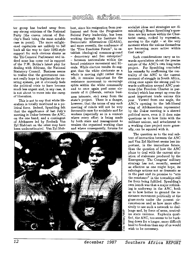ter group has backed away from any strong criticism of the National Party (the craven retreat of Bar clay's Bank being the most notable case in point). The more enlight ened capitalists are unlikely to fall back all the way to their 1983-style support for such obvious shams as the Tri-Cameral Parliament and in deed none has come out in support of the P.W. Botha's latest ploy for dealing with Africans, the National Statutory Council. Business seems to realize that the government can not really hope to legitimate the ex isting system, yet it obviously feels the political crisis to have become much less urgent and, in any case, it is not about to move into the camp of liberation.

This is not to say that white lib eralism is totally moribund as a po litical force. Indeed, Spaulding felt that the significance of last July's meeting in Dakar between the ANC, on the one hand, and a contingent of Afrikaners led by Frederik Van Zyl Slabbert on the other may have been underestimated. Van Zyl Slabbert, since his resignation from par liament and from the Progressive Federal Party leadership, has been working through his Institute for Democratic Alternatives (IDASA), and more recently, the conference of the "Five Freedoms Forum", to es tablish ideological common-ground **-** democracy and free enterprise? **-** between nationalists within the broad resistance movement and lib erals. While election results do sug gest that the white electorate as a whole is moving right rather than left, it remains important for the resistance movement to encourage splits within the white community and to once again peel some ele ments of it (liberals, certain busi ness interests, etc) away from the state's project. There is a danger, however, that the terms of any such meeting of minds will not be very favourable ones for socialists and for workers (especially so in a context where every effort is being made by both state and management to weaken the organized working class and where consequently, forums for



socialist ideas and strategies are di minishing!) Hence Spaulding's ques tion: are key actors within the Char terist camp, rocked by repression, moving to the right  $-$  at the very moment when the unions themselves are becoming more active within that camp?

Such considerations carry us to wards speculation about the precise nature of the ANC's own long-term project. For Spaulding concluded his remarks by reaffirming the cen trality of the ANC to the current moment of struggle in South Africa, citing once again the strong pull to wards unification around ANC posi tions (the Freedom Charter in par ticular) which has swept up even the most important trade unions this year. Viewed from one angle, the ANC's opening to the left-liberal wing of Afrikanerdom represented by the Dakar meeting is a shrewd political move, even it it does raise questions as to how links with the militant unions, and attachment to a working class project more gener ally, can be squared with it.

The question as to the real sub text of interaction between the **ANC**  and Van Zyl Slabbert seems less im portant, in the immediate future, than the question of how the ANC plans to deal with the current situ ation of stalemate produced by the Emergency. The Congress' military strategy has not, recently, seemed as effective as one might hope, its sabotage actions not as dramatic as in the past and its promise to "arm the resistance" in the townships still far from being fulfilled. Spaulding's own hunch was that a major rethink ing is underway in the ANC, both as to how better to ground the re sistance movement politically at the grass-roots under the present cir cumstances and as how more effec tively to use such a network to chal lenge and, by force of arms, neutral ize state violence. Euphoria quali fied, the ANC, too seems to be buck ling down for a longer, more difficult haul to freedom than any of us would wish to be necessary.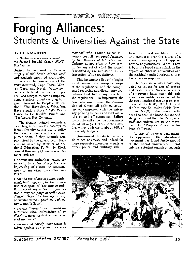## **Forging Alliances:**  Students **&** Universities Against the State

#### **BY BILL MARTIN**

*Bill Martin is* a research associate *of the Fernand Braudel Centre, SUNY Binghamton.* 

During the last week of October roughly 20,000 South African staff and students mounted coordinated protests at the universities of the Witwatersrand, Cape Town, West ern Cape, and Natal. While heli copters clattered overhead and po lice used teargas at some campuses, demonstrators rallied carrying ban ners "Forward to People's Educa tion," "You Have Struck Wits, You Have Struck a Rock," "We Won't Dance to De Klerk's Tune," and "Professors, Not Generals."

The slogans pointed towards a clear target: the state's attempt to force university authorities to police their own students and staff, and punish them if they commit acts prohibited by the government. Reg ulations issued by Minister of Na tional Education F. W. de Klerk compel University Councils as of Oc tober 19th to:

*\* prevent any gatherings "which are unlawful by virtue of any law, the boycotting of classes or examina tions or any other disruptive con flict";* 

**<sup>a</sup>***bar the use of any supplies, equip ment, buildings, etc., for the promo tion or support of "the aims or pub lic image of any unlawful organiza tion," "any campaign of civil disobe dience", "boycott action against any particular firms* **...** *product... educa tional institutions";* 

*e prevent "wrongful or unlawful in terference with, intimidation of, or discrimination against students or staff members";* 

*\* ensure that "disciplinary action is taken against any student or staff* *member" who is found by the uni versity council "on proof furnished by the Minister of Education and Culture, at any place to have com mitted any act of which the council is notified by the minister," in con travention of the regulations.* 

This incomplete list only begins to document the sweeping scope of the regulations, and the compli cated reporting and disciplinary pro cedures that follow any breach of the regulations. To implement the new rules would mean the elimina tion of almost all political activi ties on campuses, with the univer sity policing student and staff activ ities on and off campuses. Failure to comply will allow the government to cut all or part of the state subsi dies which underwrite about 80% of university budgets.

Government threats to cut sub sidies are not new, and indeed far more repressive measures - such as direct police and military rule **-**

have been used on black univer sity campuses over the course of a state of emergency which appears now to be permanent. What is new is both the broad-scale attack on the "open" or "liberal" universities and the strikingly united resistance that has arisen in response.

The open universities have long acted as venues for acts of protest and mobilization. Successive states of emergency have made this role even more visible, as evidenced by the recent national meetings on cam puses of the UDF, COSATU, and the National Education Crisis Com mittee (NECC). Even more perti nent has been the broad debate and struggle around the role of students, staff and universities in the move ment for "People's Education for People's Power."

As part of the extra-parliament ary opposition, the educational movement has found fertile ground at the liberal universities. Not only have student organizations such

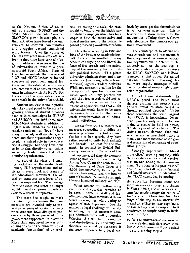as the National Union of South African Students **(NUSAS)** and the South African Students Congress (SANSCO) grown in strength, but their activities have forced the uni versities to confront communities and struggles beyond traditional ivory towers. Over the course of the last few years university officials for the first time have seriously be gun to address the issues of the role of universities en route to a post apartheid South Africa. Signs of this change include the presence of UDF and **NECC** leaders as invited speakers at prominent annual lec tures, and the establishment on sev eral campuses of education research units in alliance with the **NECC.** For the state such actions portend a seri ous breach in the unity of apartheid.

Student activists stress in partic ular the threat posed to the state by growing nonracial student alliances such as joint campaigns by NUSAS and SANSCO - in **1986** there were 10,000 black students in addition to **36,000** white students at English speaking universities. Not only have many university staff members, stu dents and their organizations begun to play a valued role in the educa tional struggle, but they have done so by linking directly to campaigns waged by trade unions and other popular organizations.

As part of the wider and ongo ing crackdown on the media, trade unions, UDF organizations and ac tivists in every nook and cranuy of the educational movement, the at tack on campuses as a locus of op position surprised few. The message from the state was clear: no longer would liberal campuses provide an oasis in a desert of repression.

The state has sought to mask its intent by proclaiming that new measures are intended only to pre vent recurrences of isolated incidents when students have disrupted pre sentations by those perceived to be government supporters. Minister de Klerk thus announced he was only seeking to ensure the "uninterrupted academic functioning" of universities. In taking this tack, the state sought to build upon the highly ma nipulative campaign which has been waged in both the conservative and liberal media around the ostensible goal of protecting academic freedom.

Thus the sharpening in **1986** and **1987** of the issue of an academic boy cott, for example, resulted in many academics rallying to the liberal de fense of free speech and the auton omy of the university from all out side political forces. This pitted university administrators, and many academics (including self-professed Marxists), against student activists. While not necessarily calling for the disruption of speeches, those ac tivists quite correctly pointed out both that free speech could not re ally be said to exist under the con ditions of apartheid, and that elitist universities would have to be more responsive to calls for the demo cratic transformation of all educa tional institutions.

Yet far from the the state's new measures succeeding in dividing the university community further over the issue of free speech, they have rather served to unify both radicals and liberals - at least for the mo ment. In contrast to divided Uni versity Senates and Councils of the past, no one could deny the common cause against state intervention. As Acting Vice Chancelor John Reid of the University of Cape Town told 4,000 demonstrators, following the state's plans would turn him into an arm of the state, "a kind of academic Casspir [armored military vehicle]".

What actions will follow upon such forceful speeches remains to be seen. Individual staff and faculty members have committed them selves to resigning before acting as agents of state repression. For the moment a legal challenge will surely be among the first measures cam pus administrators will undertake. Whether this will be followed by civil disobedience by university au thorities (as would be necessary if the state responds to a legal setback by more precise formulations) is yet an open question. This is however an historic moment for the universities, offering them a clearer role alongside the democratic na tional movement.

The counterpoint to official uni versity positions and statements is the unequivocal response of opposi tion organizations in defence of the universities. As the new regula tions were about to go into force the NECC, SANSCO, and NUSAS launched a joint appeal for united national resistance. Backing this call were lengthy messages of soli darity by almost every single opposition organization.

**Of** all these statements the NECC's posed the issues most sharply, arguing that present state policies reveal "a state caught in chronic political disorder." Under these conditions the state, argued the NECC, is increasingly depen dent upon the only option that re mains to ensure its hold on power, the deployment of violence. state's present demand that uni versities act as apartheid police is merely one more instance of the gen eral escalation of repression of oppo sition groups.

Strongly supportive of liberal universities' growing empathy with the struggle for educational transfor mation, and noting the the govern ment **"by** virtue of its past history" has no right to talk of any "normal and lawful activities' in education," the **NECC** concluded **by** stating:

*As education becomes more and more an* area *of contest and* change *in South Africa, the universities will simultaneously occupy the centre of that* arena. *There lies the chal lenge of the day to the universities*  **-** *that is, either to* take *cognizance of this reality and to respond to it creatively, or simply ossify in irrele vant traditions.* 

So far the universities' response to the state's demands does seem to in dicate that a common front against the state is being forged.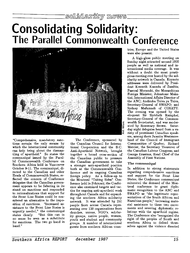## **Consolidating Solidarity: The Parallel Commonwealth Conference**



"Comprehensive, mandatory sanc tions remain the only means by which the international community can help bring about the disman tling of apartheid." So states the communiqué issued by the Parallel Commonwealth Conference on Southern Africa held in Vancouver October 9-11. The communiqué, directed to the Canadian and other Heads of Commonwealth States, re flected the concern of Conference delegates that the Canadian govern ment appears to be faltering in its stand on sanctions and responded to rationalizations that support for the Front Line States could be con sidered an alternative to the imposition of sanctions. "Increased as sistance to the Front Line States is urgently needed," the communiqué states clearly. "But this can in no sense be seen as a substitute for sanctions. The two go hand in hand."

The Conference, sponsored by the Canadian Council for Interna tional Cooperation and the B.C. Anti-Apartheid Network, brought together a broad cross-section of the Canadian public to pressure the Canadian government to take a stronger anti-apartheid position both at the Commonwealth Con ference and in ongoing Canadian foreign policy. As a follow-up to the Montreal "Taking Sides" Con ference held in February, the Confer ence also examined targets and tac tics for ongoing anti-apartheid work throughout Canada and for expand ing the southern Africa solidarity network. It was attended by 250 people from across Canada repre senting over 130 organizations from churches, unions, NGO's, solidar ity groups, native people, women, youth and student and community groups. A number of international guests from southern African countries, Europe and the United States were also present.

A high-gloss public meeting on Sunday night attracted around 1000 people as well as national and in ternational media coverage. It was without a doubt the most presti gious meeting ever hosted by the sol idarity network in Canada. Keynote addresses were delivered by Presi dent Kenneth Kaunda of Zambia; Pascoal Mocumbi, the Mozambican Foreign Minister; Johnstone Maka tini, International Affairs Director of the ANC; Andimba Toiva ya Toiva, Secretary-General of SWAPO; and Sydney Mafumadi of COSATU. The evening was opened by the eloquent Sir Shridath Ramphal, Secretary-General of the Common wealth Secretariat, and was moder ated by Rosemary Brown. Satur day night delegates heard from a va riety of prominent Canadian speak ers, among them Juanita Westmore land of the Council of Immigrant Communities of Quebec; Richard Mercier, the Secretary Treasurer of the Canadian Labour Congress; and George Erasmus, Head Chief of the Assembly of First Nations.

#### The communique

In addition to strong statements regarding comprehensive sanctions and support for the Front Line States, the Conference communiqué reiterated the demand of the Mon treal conference to grant diplo matic recognition to the ANC and SWAPO as "the legitimate repre sentatives of the South African and Namibian people," increasing mate rial assistance to these two move ments and severing diplomatic re lations with the apartheid regime. The Conference also "recognised the right of the peoples of South and southern Africa to defend them selves against the violence directed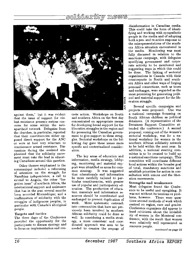## <u>solidarity news</u>



against them," but it was evident that the issue of support for vio lent resistance presents serious con cerns for some within the anti apartheid network. Delegates from the churches, in particular, reported that their constituencies either op posed direct support for the ANC or were at best very reluctant to countenance armed resistance. Dis cussions during the weekend em phasized that the solidarity movement must take the lead in educat ing Canadians around this question.

Other themes emphasized in the communiqué included a refocusing of attention on the struggle for Namibian independence; a call to extend to Angola, the other "for gotten issue" of southern Africa, the international support and assistance that has in the past several months been accorded Mozambique; and a reaffirmation of solidarity with the struggles of indigenous peoples, in particular with Canada's aboriginal people.

#### Targets and tactics

The three days of the Conference provided the opportunity for the participants to discuss strategy and to focus on implementation and concrete action. Workshops on South and southern Africa on the first day concentrated on appropriate means for developing broad support for the liberation struggles in the region and for pressuring the Canadian govern ment to give support to these strug gles. Sectorial workshops on the fol lowing day gave these issues more specific and contextualized consider ation.

The key areas of education and information, media strategy, lobby ing, monitoring and material sup port were identified as areas for com mon strategy. It was suggested that educationals and information be more carefully tailored to par ticular constituencies, with greater use of popular and participatory ed ucation. The production of educa tion materials and information re sources should be coordinated and exchanged to prevent duplication of work. More systematic outreach into communities that have not pre viously been involved in southern African solidarity could be done as well. In considering a media strat egy, a more consistent and coor dinated approach was seen to be needed to counter the seepage of

disinformation in Canadian media. This could take the form of identi fying and working with sympathetic people in the media and of adopting both a pro- and re-active response to the misrepresentations of the south ern Africa situation encountered in the media. Monitoring was most fully discussed in relation to the sanctions campaign, with delegates specifying government and corpo rate activity to be monitored and suggesting ways in which this could be done. The linking of sectorial organizations in Canada with their counterparts in South and south ern Africa and other ways of forging personal connections, such as tours and exchanges, were regarded as the most promising for generating polit ical and material support for the lib eration struggle.

Several specific campaigns and projects were proposed. One was a national campaign focussing on South African children as political detainees. (A representative of the Detainees Support Committee at tended the conference.) A second proposal, coming out of the women's sectorial workshop, was for a na tional workshop for women in the southern African solidarity network to be held within the next year. In addition, a national steering com mittee is to be created to build up a national sanctions campaign. This committee will coordinate different local actions within the broader goal of total, mandatory sanctions and establish priorities for action in con sultation with unions and the liber ation movements.

#### Strengths **and weaknesses**

Most delegates found the Confer ence to be useful and energizing. It was not without its tensions or prob lems, however. There were ques tions around methods of work which centred on region, race and gender. Conference organizers did appear to heed criticisms about the invisibil ity of women in the Montreal con ference, with the result that women were relatively well represented as resource people.

**continued** *on page* 22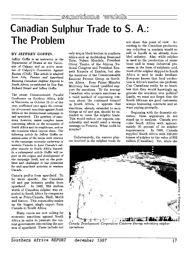## **Canadian Sulphur Trade to S. A.: The Problem**

#### **BY JEFFREY GOFFIN.**

*Jeffrey Goffin is an instructor in the Department of Drama at the Univer sity of Calgary* and an *active* mem *ber of Calgary's Committee Against Racism (CAR). This article is* adapted *from Jobs, Famine and Apartheid: Banning Canadian Sulphur Exports to South Africa, co-authored by Don Ray, Richard Stuart and Jeffrey Goffin.* 

*The recent Commonwealth Parallel Conference on Southern Africa, held in Vancouver on October 10-11 of this year, reaffirmed once again the central ity of economic sanctions against South Africa in the international campaign to end apartheid. The question of sanc tions, however, raises complex issues concerning effects on the economies of South Africa and its neighbours, and on the countries which impose them. The following article by Jeffrey Goffin ex amines some of the issues with relation to the campaign currently underway in western* Canada *to have Canada's sul phur exports to South Africa banned. In a subsequent article Goffin will re port on the origins and development of the campaign itself, and on the prob lems and challenges it has presented for anti-apartheid activists in western*  Canada.

Canada profits from apartheid. To be more specific, the Canadian oil and gas industry profits from apartheid. In 1986, \$59 million worth of Canadian sulphur was ex ported to South Africa by companies such as Petro-Canada, Shell, Mobil and Amoco. This commodity makes up the biggest single export from Canada to South Africa.

Many voices are now calling for economic sanctions against South Africa in order to pressure the cur rent government into ending the sys tem of apartheid. These include not

only major black leaders in southern Africa such as Archbishop Desmond Tutu, Nelson Mandela, President Oliver Tambo of the African Na tional Congress and President Ken neth Kaunda of Zambia, but also the members of the Commonwealth Eminent Persons Group on South ern Africa. Even Prime Minister Mulroney has voiced qualified sup port for sanctions. To the average Canadian who accepts sanctions as a valid method of expressing con cern about the continued turmoil in South Africa, it appears that sanctions, already extended to such things as oil and gas, should be ex tended to cover the sulphur trade. This would reduce our exports con siderably and would send a strong message to Pretoria. What could be simpler?

Unfortunately, the various play ers involved in the sulphur trade do not share this point of view. Ac cording to the Canadian producers, any reduction in markets would re sult in layoffs in an already trou bled industry. Also, while sulphur is used in the production of muni tions and in many industrial pro cesses in the form of sulphuric acid, most of the sulphur shipped to South Africa is used to make fertilizer. Everyone knows that food produc tion is Africa's number one problem. Can Canadians really be so heart less that they would knowingly ag gravate the situation over politics? Lastly, we must not forget that the South Africans are good customers; always honouring contracts and al ways paying promptly.

Beginning with the domestic sit uation, these arguments do not stand up to analysis. Canada pro vides South Africa with approxi mately 50 percent of its sulphur<br>requirements. In 1986, Canada In 1986, Canada supplied South Africa with 320,000 tonnes of sulphur to the value of \$59 million (Canadian). Yet, while the



*Canada Development Corporation Canierra Energy subsidiary sulphur operations*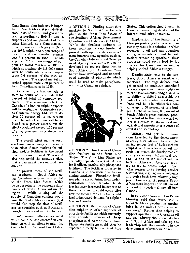### $\overline{\text{sgn}}$ n Grinons wwata b

Canadian sulphur industry is impor tant to South Africa, it is a relatively small part of our oil and gas industry. According to Bob Phillips, a sulphur expert and president of Can sulex Limited, at a Canadian sul phur conference in Calgary in Octo ber 1986, sulphur as a percentage of total oil and gas operator revenues was 3.4 percent in 1985. Canada exported 7.5 million tonnes of sul phur to world markets in 1985 of which approximately 418,000 tonnes went to South Africa which repre sents 5.6 percent of the total export market. The export market ab sorbed approximately 80 percent of total Canadian sales in 1985.

As a result, a ban on sulphur sales to South Africa equals 0.152 percent of total oil company rev enues. The economic effect on Canada of a ban on sulphur exports will be negligible. Companies such as Canterra Energy Ltd. which de rives 36 percent of its net revenue from the sale of sulphur will be af fected to a greater extent, but the effect should not exceed 1.75 percent of gross revenues using single pro portion.

The overall effect on the west ern Canadian economy will be more than offset if new markets for sul phur and/or fertilizer in the Front Line States are pursued. This would also help avoid the negative effect that a ban might have on food pro duction.

At present most of the fertil izer produced in South Africa us ing Canadian sulphur is exported to the Front Line States, which helps perpetuate the economic dom inance of South Africa within the region. While cutting off the supply of Canadian sulphur would hurt the South African economy, it would also stop the flow of fertil izer to countries such as Botswana, Lesotho, Swaziland and Zimbabwe.

Yet, several alternatives exist which could be implemented in con junction with sanctions to minimize their effect in the Front Line States:

**\*** OPTION 1: Finding alternative markets to South Africa for sul phur in the Front Line States of the Southern African Development Coordination Conference (SADCC): While the fertilizer industry in these countries is very limited at present, with appropriate assistance from international agencies such as the Canadian International Develop ment Agency new markets can be developed to replace those lost in South Africa. Both Angola and Zim babwe have developed and undevel oped deposits of phosphate which could be used to make phosphoric acid using Canadian sulphur.



\* OPTION 2: Direct sales of Cana dian fertilizer to the Front Line States: The Front Line States are currently dependent on South Africa for fertilizer, particularly phosphate fertilizer. The fertilizer industry in Canada is in recession due to de clining markets. Phosphate fertil izer plants are suffering from under utilization. If the Canadian fertil izer industry increased its exports to these countries, it could easily offer new life to itself, which in turn could lead to increased demand for sulphur here in Canada.

**\*** OPTION 3: Redirection of Cana dian sulphur to other suppliers of phosphate fertilizers which currently have abundant sources of cheap phosphate such as Morocco or Togo: Phosphate fertilizers could then be exported directly to the Front Line States. This option should result in Canada maintaining its share of the international sulphur market.

Exploration of the feasibility of these proposals by all concerned par ties may result in a solution in which revenues to oil and gas operators and governments will not be lost. Besides weakening apartheid, these proposals could easily lead to job creation for Canadians, as well as helping to feed Africa's hungry.

Despite statements to the con trary, South Africa is sensitive to sanctions. The huge defence bud get needed to maintain apartheid is very expensive. Any additions to the Government's budget weaken its ability to defend apartheid, the costs of which in administration, de fence and built-in efficiencies con sume up to 50 percent of this bud get. At the same time, 60 percent of South Africa's gross national prod uct is linked to the outside world ei ther as markets for its mineral and agricultural exports or as a source of capital and technology.

Military and petroleum sanc tions have led to the development of costly alternatives. For example. an indigenous lack of hydrocarbons coupled with sanctions on oil im ports has meant the development of a very expensive oil-from-coal pro cess. A ban on the sale of sulphur to South Africa will force that coun try to try to obtain sulphur from other sources or to develop costlier alternatives, e.g., igneous volcanics and pyrite both have relatively high production costs. At present South Africa must import up to 50 percent of its sulphur needs - almost all from Canada.

In 1977 John Vorster, then Prime Minister, said that "every sale of a South Africa product is another brick in the wall of our continued existence." Rather than helping to support apartheid, the Canadian oil and gas industry should end its ties with South Africa and take up the leadership role that awaits it in the development of southern Africa.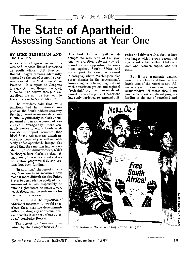## **The State of Apartheid: Assessing Sanctions at Year One**

#### **BY** MIKE **FLESHMAN AND JIM CASON**

**A** year after Congress overrode his veto and imposed limited sanctions on South Africa, U.S. President Ronald Reagan remains adamantly opposed to the use of economic pres sure against his "old friends" in Pretoria. In a report to Congress in early October, Reagan declared, "I continue to believe that punitive sanctions are not the best way to bring freedom to South Africa."

The president said that while sanctions had had minimal im pact on the South African economy they had nevertheless somehow con tributed significantly to black unem ployment and in some cases had con centrated "marginally" more eco nomic power in white hands - although the report concedes that black South Africans are disenfran chised economically as well as polit ically under apartheid. Reagan also noted that the sanctions had acceler ated corporate disinvestment, which he charged hurt blacks by eliminat ing many of the educational and so cial welfare programs U.S. corpora tions had been funding.

"In addition," the report contin ues, "our sanctions measures have made it more difficult for the United States to persuade the South African government to act responsibly on human rights issues, to move toward negotiations, and to restrain its be haviour in the region."

"I believe that the imposition of additional measures ... would exac erbate these negative developments without adding any additional posi tive benefits in support of our objec tives," concludes Reagan.

The report to Congress - required by the Comprehensive Anti-

Apartheid Act of 1986 - at tempts no resolution of the glar ing contradiction between the ad ministration's opposition to sanc tions against South Africa and its support for sanctions against Nicaragua, where Washington also seeks changes in the government's human rights policies, negotiations with opposition groups and regional "restraint." Nor can it reconcile administration charges that sanctions have only hardened government attitudes and driven whites further into the laager with its own account of the recent splits within Afrikaner dom and between capital and the state.

But if the arguments against sanctions are tired and familiar, the harsh tone of the report is not. Af ter one year of sanctions, Reagan acknowledges, "I regret that I am unable to report significant progress leading to the end of apartheid and



*A U.S. Nalional Divestment Day prolest last year*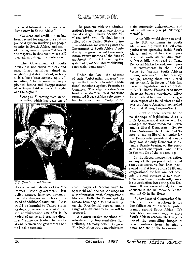the establishment of a nonracial democracy in South Africa."

"No clear and credible plan has been devised for negotiating a future political system involving all people equally in South Africa, and many of the legitimate representatives of the majority in that country are still banned, in hiding, or in detention.

"The Government of South Africa has not ended military and paramilitary activities aimed at neighboring states. Instead, such ac tivities have been stepped up **... "**  including "the increase in unex plained deaths and disappearances of anti-apartheid activists through out the region."

Strong stuff, coming from an ad ministration which has been one of

The problem with the adminis tration's formulation on sanctions is that it's illegal. Under Section 501 of the 1986 law. "It shall be the policy of the United States to im pose additional measures against the Government of South Africa if sub stantial progress has not been made within twelve months of the date of enactment of this Act in ending the system of apartheid and establishing a nonracial democracy."

Under the law, the absence of such "substantial progress" re quires the President to submit addi tional sanctions against Pretoria to Congress. The administration's re fusal to recommend new sanctions prompted House Africa subcommit tee chairman Howard Wolpe to ac-



*U.S. Senator Paul Simon* 

the staunchest defenders of the "re formist" Botha government. But policy changes have not accompa nied the changes in rhetoric. In stead of additional sanctions - "that would be harmful to United States strategic or economic interests" **-** all the administration can offer is "a period of active and creative diplo macy" somehow leading to negoti ations between the government and its black opponents.

cuse Reagan of "apologizing" for apartheid and has set the stage for a confrontation with Congressional liberals. Both the House and the Senate have begun to hold hearings on the Presidential report, and a range of additional measures will be proposed.

A comprehensive sanctions bill, introduced by Representative Ron Dellums, is already before Congress. This legislation would mandate complete corporate disinvestment and cut off all trade (except "strategic metals").

Other bills would deny tax cred its to U.S. companies in South Africa, would prevent U.S. oil com panies from operating inside South Africa, and would ban the impor tation of South African diamonds. A fourth bill, introduced by Texas Democrat Mickie Leland, would pro hibit investments in the United States by "certain South African<br>mining interests." (Interestingly mining interests." enough, among those who turned out to testify in favour of this last piece of legislation was corporate raider T. Boone Pickens, who many observers believe convinced fellow Texan Leland to introduce this legis lation as part of a failed effort to take over the Anglo American controlled Newmont Mining Corporation.)

But while there seems to be no shortage of legislation, there is little Congressional enthusiasm for stronger sanctions measures - even among liberal Democrats. Senate Africa Subcommittee Chair Paul Si mon, a leading liberal contender for the Democratic presidential candi dacy, was the only Democrat to at tend a Senate hearing on the presi dent's sanctions report - and he left in the middle of the proceedings.

In the House, meanwhile, action on any of the proposed additional sanctions measures has been post poned until at least Spring 1988, and congressional staffers are not opti mistic about passage of new sanc tions even then. Significantly, since its introduction last spring, the Del lums bill has garnered only two co sponsors in the 100-member Senate, and just 65 in the House.

At the heart of Congressional in difference toward sanctions is the demobilization of American public opinion around South Africa. It's now been eighteen months since South African censors effectively re moved the compelling images of racial violence from the nightly news, and the public has moved on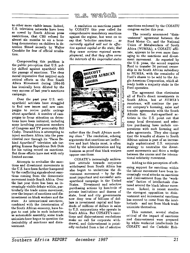### w.s. wznich <sup>-</sup>

to other more visible issues. Indeed, U.S. television networks have been so cowed by South African press restrictions, that CBS refused for almost six months to air a hour long documentary on children in detention filmed secretly **by** Walter Cronkite for fear of official retalia tion.

Compounding this problem is the public perception that U.S. pol icy shifted against apartheid with the passage of sanctions. The clear moral imperative that inspired such critical efforts as the Free South Africa Movement during 1984-85 has ironically been diluted by the very success of last year's sanctions campaign.

Over the past year U.S. anti apartheid activists have struggled to find new issues and new cam paigns to revive public outrage about apartheid. A number of cam paigns to focus attention on deten tions have been initiated, including some involving prominent members of Congress and TV personality Bill Cosby. TransAfrica is attempting to inject southern Africa into the pres idential race through its "Faces Be hind Apartheid" television ads tar geting Kansas Republican Bob Dole for his voting record on sanctions. But those efforts have met with only limited success.

Attempts to revitalize the sanc tions and divestment movements in the U.S. have been further hampered by the conflicting signals about sanc tions coming from the democratic movement inside South Africa. Over the last year there has been an in creasingly visible debate within, par ticularly the trade union movement, over the impact of sanctions and dis investment on black workers and the state. As international sanctions, combined with the deterioration of the South African economy, have be gun to cost jobs in such industries as automobile assembly, some trade unionists have begun to question the desirability of sanctions and disin vestment.

A resolution on sanctions passed by COSATU this year called for comprehensive mandatory sanctions against the regime, but went on to say that *"selective sanctions* ... *as currently applied will not be effec tive against capital or the state; that they cause serious regional unem ployment, and that they often serve the interests of the imperialist states*



*rather than the South African work ing class."* The resolution, echoing arguments that sanctions are ineffec tive and hurt blacks most, is often cited by the administration and big business as proof that black workers oppose sanctions.

COSATU's increasingly ambiva lent attitude towards corporate withdrawal from South Africa has also begun to undermine the di vestment movement - by far the most important and successful anti apartheid campaign in the United States. Divestment and selective purchasing actions by hundreds of private institutions and dozens of state, local and city governments now deny tens of billions of dol lars in investment capital and hun dreds of millions of dollars in sales to U.S. corporations who operate in South Africa. But COSATU's sanc tions and disinvestment resolutions make no call for corporate with drawal, and disinvestment is point edly excluded from a list of selective

sanctions endorsed by the **COSATU**  congress earlier this year.

The recently announced "disin vestment" agreement between the Ford Motor Co. and the National Union of Metalworkers of South Africa **(NUMSA),** a COSATU affil iate, appears to be even more dam aging to the sanctions and divestment movement. As reported by the U.S. press, the accord requires Ford to transfer 24 percent owner ship in its South African subsidiary to NUMSA, with the remainder of Ford's shares to be sold to the An glo American Corporation, which al ready holds a majority stake in the Ford operation.

The agreement thus eliminates all of Ford's direct investments in South Africa, but *at NUMSA's insistence,* will continue the par ent company's licensing, sales and transfer agreements with the South African firm. Anti-apartheid ac tivists in the U.S. point out that many local divestment and selec tive purchasing laws include cor porations with such licensing and sales agreements. They also charge that the transfer of shares to South African unions is part of an increas ingly sophisticated U.S. corporate strategy to neutralize the divest ment movements and drive a wedge between the unions and the interna tional solidarity movement.

Adding to this perception of soft ening support for sanctions within the labour movement have been in creasingly vocal attacks on sanctions and disinvestment from the "work erist" faction of intellectuals clus tered around the black labour move ment. Indeed, in recent months the strongest opposition to disin vestment and incremental sanctions has seemed to come from the intel lectuals **-** and not from black trade unionists themselves.

This summer, several studies critical of the impact of sanctions and disinvestment were prepared **by** white workerist intellectuals for COSATU and the Catholic Bish-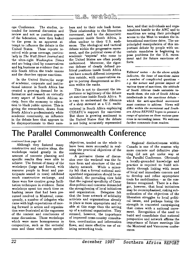### m<sub>o</sub>s, wratch

ops Conference. The studies, in tended for internal discussion and review and not as position papers of the federation, were then leaked to the press in an apparent at tempt to influence the debate in the United States. These reports re ceived wide press coverage, particu larly in *The Wall Street Journal* and the ultra-right *Washington Times*  and are being cited by conservatives and big business as evidence that in side South Africa the trade unions and the churches oppose sanctions.

In the United States,the surge of academic, corporate and institu tional interest in South Africa has created a growing, demand for in formation and research on virtually every aspect of South African so ciety, from the economy to educa tion to black public opinion. This is giving the researchers, drawn from South Africa's predominately white academic community, an influence in the debate here that appears to be disproportionate to their numbers and to their role back home. Their relationship to the liberation movement, and to the democratic movement inside South Africa, is often unclear to their **U.S.** audi ences. The ideological and tactical debate within the progressive move ment, and the political views of the academic "experts" who come to the United States are often poorly understood. Moreover, the rigor ous defense of clearly defined po litical positions inside South Africa can have a much different interpreta tion outside, with conservatives ea ger to portray disagreement as divi sion within the ranks.

This is not to discount the im portance or legitimacy of the debate on sanctions inside South Africa. It is easy to understand the dilemma of a shop steward at a **U.S.** multi national in South Africa explaining COSATU's support for sanctions. But there is growing sentiment in the United States that the debate is not being accurately represented

here, and that individuals and orga nizations hostile to the **ANC** and to sanctions are using their privileged access to the West to weaken the in ternational sanctions drive. The un principled manipulation of this im portant debate **by** people with un certain mandates is beginning to pose problems for the **U.S.** move ment and for future sanctions ef forts.

Editors' note: **-** *As the above article indicates, the issue of sanctions raises a number of complicated questions e.g. the nature and precise impact of various types of sanctions, the attitude of South African trade unionists to wards them, the role of South African intellectuals in the sanctions debate which the anti-apartheid movement must continue to address. Views will differ within the movement and South* ern *Africa REPORT hopes to present a range of opinions on these various ques tions in succeeding issues. We welcome further comments from readers.*

## **The Parallel Commonwealth Conference**

#### *continued from page 16*

Although they fostered many constructive and creative ideas, the workshops varied greatly in the amount of concrete planning and specific results they were able to achieve. The format of many of the workshops (large and formal, with resource people in front and par ticipants seated in rows) inhibited much constructive exchange, and there were few creative group facili tation techniques in evidence. Some workshops spent too much time re hashing issues that had been pre sumed resolved in Montreal; conse quently, a number of delegates who came with high expectations of mov ing forward in action and organiza tion were frustrated at the vagueness of the content and conclusions of some discussions. Those workshops which were more homogeneous in composition, such as the sectorial ones and those with more specific

objectives, tended on the whole to have been more successful in real izing the practical objectives of the conference.

A pervasive theme of discus sion over the weekend was the fu ture form and structure of the sol idarity network. While a minor ity felt that a formal national anti apartheid organization should be es tablished, the prevailing view held that the regional specificity of Cana dian politics and concerns demanded the strengthening of local initiatives and organization. Delegates felt that the loose network of solidarity activists and organizations already in place is more appropriate and vi able at this stage than the setting up of a national organization. They stressed, however, the importance of improved cross-country consulta tion, coordination and information flows, and more effective use of ex isting networking tools.

Regional distinctiveness within Canada is one of the reasons why more concrete and definitive plan ning did not get under way at the Parallel Conference. Obviously a locally-grounded knowledge and practice is required to build soli darity through linking with issues of local and immediate concern and to develop and refine appropriate tools for mobilization - as the con ference recognized. There is a dan ger, however, that local initiatives may be overemphasized, risking sub ordination of the objectives of the liberation struggles to local politi cal issues, and perhaps losing the strength in concerted campaigning that comes with a national move ment. Recognition of the need to build and consolidate that national perspective and network affirms the importance of future meetings like the Montreal and Vancouver confer ences.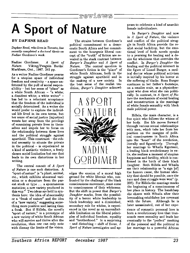### ้ rewiews :

## **A Sport of Nature**

#### **BY DAPHNE READ**

*Daphne* Read, *who lives in Toronto, has recently completed a doctoral thesis on Nadine Gordimer's work.* 

Nadine Gordimer. **A** Sport of *Nature.* Viking/Penguin Books: Markham, Ont., 1987. 341 pp.

As a writer Nadine Gordimer yearns for a utopian space of individual freedom and creativity - a space un fettered **by** the pull of social respon sibility – but her sense of "place" as a white South African - "a white; a dissident white; a white writer" has led to a reluctant acceptance that the freedom of the individual is socially determined. As a writer she would prefer to explore the individ ual life lived in its own terms, but her sense of social justice (injustice) wrests her away from the privilege of examining private lives in them selves and impels her to focus on the relationship between these lives and the political struggle against apartheid. This constraint - the ethical necessity to situate the private in the political  $-$  is experienced as a kind of aesthetic violence, a freely chosen social limitation but one that leads to its own distortions in her writing.

The central conceit of *A Sport of Nature* is one such distortion. A "sport of nature" is "a plant, animal, etc., which exhibits abnormal vari ation or a departure from the par ent stock or type ... a spontaneous mutation; a new variety produced in this way." Two ideas are held in syn thesis here: the idea of abnormality or a "freak of nature" and the idea of a "new variety," suggesting some thing more positive and lasting than a freak. But if Hillela, the novel's "sport of nature," is a prototype of a new variety of white South African who will survive and thrive after the revolution, then one can only note with dismay the limits of the vision.

The strains between Gordimer's political commitment to a demo cratic South Africa and her commit ment to the bourgeois liberal con cept of the "truth" of fiction are re vealed in the stark contrast between *Burger's Daughter* and *A Sport of*  The central question in Gordimer's fiction is the "place" of white South Africans, both in the struggle against apartheid and in the making of a new society. In the best sense of the realist tra dition, *Burger's Daughter* acknowl



edges the erosion of a moral high ground for white liberals who, con fronted **by** the challenge of the black consciousness movement, must come to consciousness of their whiteness. But the shift in power that *Burger's Daughter* marks, from the possibil ity of a heroic white leadership to black leadership and a diminished, secondary role for whites, is experi enced in the novel as an uncomfort able limitation on the liberal princi ples of individual freedom, equality and "brotherhood." In a surprising **-** and disturbing **-** shift of focus, *A Sport of Nature* investigates and appears to celebrate a kind of anarchic female individualism.

In *Burger's Daughter* and now in *A Sport of Nature,* the violence and conflict of the political strug gle in South Africa provide the re alist social backdrop, but the emo tional level of both novels speaks to a yearning for healing and a de sire for wholeness that overrides the conflict. In *Burger's Daughter* the healing and the political intersect in the figure of Lionel Burger, a med ical doctor whose political activism is initially inspired by his horror at the suffering of blacks. Rosa Burger continues in her father's footsteps, on a smaller scale, as a physiother apist who does what she can politi cally. In contrast, in *A Sport of Na ture* the mechanism of social healing and reconstruction is the marriage of white female sexuality with black male political power.

Hillela, the main character, is a free spirit who follows the whims of her body. Her life moves forward through various sexual relationships with men, which take her from her position on the margins of polit ical consciousness in South Africa into the "heart" of the revolution, literally and figuratively. Through her marriage to Whaila Kgomani, a leading black revolutionary in ex ile, she realizes a moment of utopian happiness and fertility, which is con firmed in the birth of their black daughter. Both Hillela and Whaila see their relationship as "a sign [of] the human cause, the human iden tity that should be possible, once the race and class struggle were won" (p. 208). For Hillela the marriage marks the beginning of a consciousness of her place in history. The handclasp she shares with Whaila after their lovemaking establishes her covenant with the future. Although he is later assassinated, out of her expe rience of romantic personal love is born a revolutionary love that tran scends mere sexuality and leads her eventually to the "perfect" meshing of the personal and the political in her marriage to a powerful African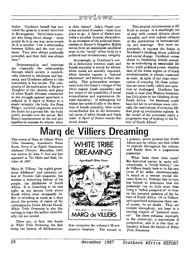### **1C,** *(9 -\Yf* **(9 WV 0**

leader. Gordimer herself has pro vided the gloss in a recent interview in Ms magazine: "Revolution is peo ple who bring about change - some people do it in one way, some people do it in another. I see a relationship between Hillela and the true cour tesan. They were always politically powerful; and their field was always men."

Heterosexuality and marriage are classically the relationships through which society is symboli cally restored to wholeness and har mony, and Gordimer adheres to this convention in her novels. The com plexity of the exploration in *Burger's Daughter* of the identity and place of white South Africans committed to the struggle against apartheid is reduced in *A Sport of Nature* to a single certainty: the body. For Rosa Burger, political exigencies overrule the desire for a private life: the body politic prevails over the sexual. But Rosa's imprisonment at the end also signifies an impasse for whites: what

is their future? *July's People* pro vides one kind of answer **-** there is no place to go. *A Sport of Nature* pro vides a peculiar utopian alternative. In an inversion of the political deter minism in *Burger's Daughter,* Hillela moves from an essentialist apolitical trust in the "truth" of her body to a political and revolutionary integrity.

Increasingly in Gordimer's nov els a dichotomy between male and female sexuality is struck for whites: white males are sexually impotent, white females express a "natural wholeness" and fertility in their sex uality. This polarization incorpo rates both Gordimer's critique of the white regime (male sexuality) and her vision of the possibility of social reconciliation and regeneration (fe male sexuality). If redemption for whites lies symbolically in the direc tion of female sexuality, then social reconciliation lies in the heterosex ual union of white female and black male. *A Sport of Nature* enacts this social drama.

This utopian reductiveness is dif ficult to accept: it is startlingly out of step with current debates about sexuality, and with radical critiques of the institutions of heterosexual ity and marriage. But more im portantly, it exposes the limits of Gordimer's thinking about political and social change. Gordimer comes closes to fetishizing female sexual ity as embodying an essentialist life force, while political power, whether that of the white regime or of black revolutionaries, is always construed as male. In spite of her close obser vation of everyday life these polari ties are never really called into ques tion or challenged. Gordimer has made it clear that Western feminism has little place in her thinking about South Africa. Yet feminism could have led her to scrutinize more criti cally the institutions of everyday life that prop up totalitarian regimes. Is the model of the courtesan really a progressive way of looking to the fu ture of South Africa?

## **Marq de Villiers Dreaming**

*This review of Marq de Villiers'* White Tribe Dreaming, Apartheid's Bitter Tribe Dreaming, Apartheid's Bitter **WHITE TRIBE**<br>Roots, Notes of an Eighth Generation appeared *in* The Globe and Mail, Oc-<br>tober 10, 1987

ation Afrikaner" and currently ed itor of *Toronto Life* magazine, has written a disturbing history of his people, the Afrikaners of South Africa. It is disturbing in its own right, as any serious book about South Africa must necessarily be. But in revealing as much as it does about the poverty of vision of the contemporary South African liberal, *White Tribe Dreaming* is also dis turbing in ways the author undoubt edly did not intend.

There are, in fact, two books in *White Tribe Dreaming,* the first being the history of Afrikanerdom



that comprises the volume's 26 sub stantive chapters. The second is

a polemic about present-day South Africa and its critics, one that itches to explode throughout the volume, and finally does in a pugnacious

**- -** .consciously, a "tribal history," one **lv** feelsq **to** he his **own** What links these twin texts? (even if he seeks, simultaneously, to stand at a certain crucial dis tance from it). Perhaps this in turn has helped to determine that the postscript can do little more than bring a "tribal perspective" to bear on the tortured question of the fu ture of South Africa. Of de Villiers' anti-apartheid sentiments there can, of course, be no doubt. They are evident throughout, not least in a moving chapter of "personal mem oir". Yet there remains, especially in the postscript, a narrowness of perspective, and it is this that ul timately defines the failure of *White Tribe Dreaming.*